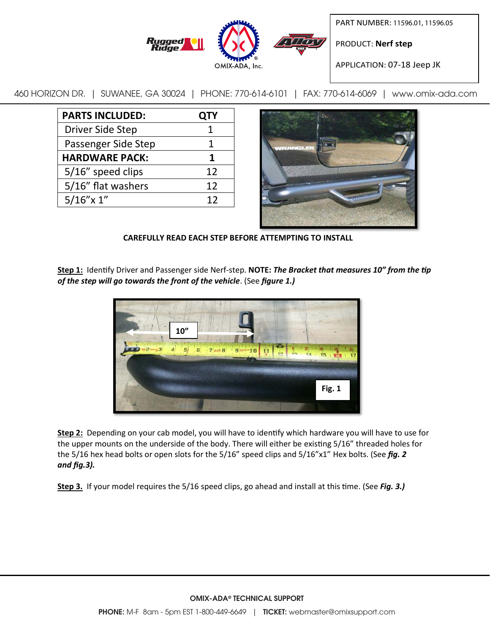



PRODUCT: **Nerf step**

APPLICATION: 07-18 Jeep JK

460 HORIZON DR. | SUWANEE, GA 30024 | PHONE: 770-614-6101 | FAX: 770-614-6069 | www.omix-ada.com

| <b>PARTS INCLUDED:</b>  | QTY |
|-------------------------|-----|
| <b>Driver Side Step</b> | 1   |
| Passenger Side Step     | 1   |
| <b>HARDWARE PACK:</b>   |     |
| 5/16" speed clips       | 12  |
| 5/16" flat washers      | 12  |
| $5/16''$ x 1"           | 12  |



 **CAREFULLY READ EACH STEP BEFORE ATTEMPTING TO INSTALL** 

**Step 1:** Identify Driver and Passenger side Nerf-step. **NOTE:** *The Bracket that measures 10" from the tip of the step will go towards the front of the vehicle*. (See *figure 1.)* 



**Step 2:** Depending on your cab model, you will have to identify which hardware you will have to use for the upper mounts on the underside of the body. There will either be existing 5/16" threaded holes for the 5/16 hex head bolts or open slots for the 5/16" speed clips and 5/16"x1" Hex bolts. (See *fig. 2 and fig.3).* 

**Step 3.** If your model requires the 5/16 speed clips, go ahead and install at this time. (See *Fig. 3.)*

## OMIX-ADA® TECHNICAL SUPPORT